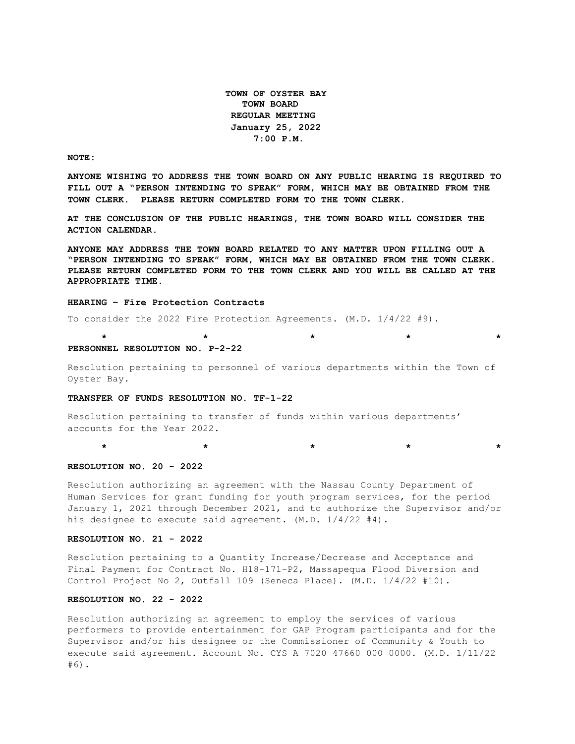**TOWN OF OYSTER BAY TOWN BOARD REGULAR MEETING January 25, 2022 7:00 P.M.** 

**NOTE:**

**ANYONE WISHING TO ADDRESS THE TOWN BOARD ON ANY PUBLIC HEARING IS REQUIRED TO FILL OUT A "PERSON INTENDING TO SPEAK" FORM, WHICH MAY BE OBTAINED FROM THE TOWN CLERK. PLEASE RETURN COMPLETED FORM TO THE TOWN CLERK.**

**AT THE CONCLUSION OF THE PUBLIC HEARINGS, THE TOWN BOARD WILL CONSIDER THE ACTION CALENDAR.**

**ANYONE MAY ADDRESS THE TOWN BOARD RELATED TO ANY MATTER UPON FILLING OUT A "PERSON INTENDING TO SPEAK" FORM, WHICH MAY BE OBTAINED FROM THE TOWN CLERK. PLEASE RETURN COMPLETED FORM TO THE TOWN CLERK AND YOU WILL BE CALLED AT THE APPROPRIATE TIME.**

#### **HEARING – Fire Protection Contracts**

To consider the 2022 Fire Protection Agreements. (M.D. 1/4/22 #9).

#### **\* \* \* \* \* PERSONNEL RESOLUTION NO. P-2-22**

Resolution pertaining to personnel of various departments within the Town of Oyster Bay.

### **TRANSFER OF FUNDS RESOLUTION NO. TF-1-22**

Resolution pertaining to transfer of funds within various departments' accounts for the Year 2022.

# **RESOLUTION NO. 20 - 2022**

Resolution authorizing an agreement with the Nassau County Department of Human Services for grant funding for youth program services, for the period January 1, 2021 through December 2021, and to authorize the Supervisor and/or his designee to execute said agreement. (M.D. 1/4/22 #4).

 **\* \* \* \* \***

#### **RESOLUTION NO. 21 - 2022**

Resolution pertaining to a Quantity Increase/Decrease and Acceptance and Final Payment for Contract No. H18-171-P2, Massapequa Flood Diversion and Control Project No 2, Outfall 109 (Seneca Place). (M.D. 1/4/22 #10).

# **RESOLUTION NO. 22 - 2022**

Resolution authorizing an agreement to employ the services of various performers to provide entertainment for GAP Program participants and for the Supervisor and/or his designee or the Commissioner of Community & Youth to execute said agreement. Account No. CYS A 7020 47660 000 0000. (M.D. 1/11/22 #6).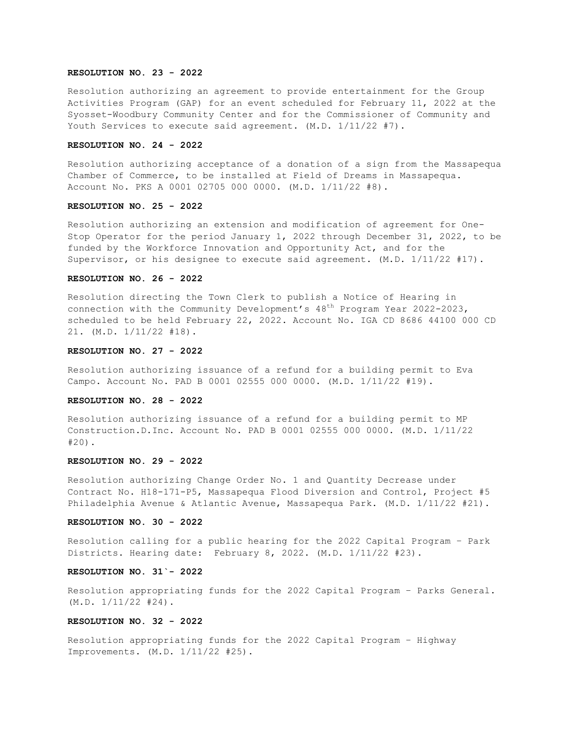### **RESOLUTION NO. 23 - 2022**

Resolution authorizing an agreement to provide entertainment for the Group Activities Program (GAP) for an event scheduled for February 11, 2022 at the Syosset-Woodbury Community Center and for the Commissioner of Community and Youth Services to execute said agreement. (M.D. 1/11/22 #7).

### **RESOLUTION NO. 24 - 2022**

Resolution authorizing acceptance of a donation of a sign from the Massapequa Chamber of Commerce, to be installed at Field of Dreams in Massapequa. Account No. PKS A 0001 02705 000 0000. (M.D. 1/11/22 #8).

### **RESOLUTION NO. 25 - 2022**

Resolution authorizing an extension and modification of agreement for One-Stop Operator for the period January 1, 2022 through December 31, 2022, to be funded by the Workforce Innovation and Opportunity Act, and for the Supervisor, or his designee to execute said agreement. (M.D. 1/11/22 #17).

## **RESOLUTION NO. 26 - 2022**

Resolution directing the Town Clerk to publish a Notice of Hearing in connection with the Community Development's  $48<sup>th</sup>$  Program Year 2022-2023, scheduled to be held February 22, 2022. Account No. IGA CD 8686 44100 000 CD 21. (M.D. 1/11/22 #18).

### **RESOLUTION NO. 27 - 2022**

Resolution authorizing issuance of a refund for a building permit to Eva Campo. Account No. PAD B 0001 02555 000 0000. (M.D. 1/11/22 #19).

#### **RESOLUTION NO. 28 - 2022**

Resolution authorizing issuance of a refund for a building permit to MP Construction.D.Inc. Account No. PAD B 0001 02555 000 0000. (M.D. 1/11/22 #20).

## **RESOLUTION NO. 29 - 2022**

Resolution authorizing Change Order No. 1 and Quantity Decrease under Contract No. H18-171-P5, Massapequa Flood Diversion and Control, Project #5 Philadelphia Avenue & Atlantic Avenue, Massapequa Park. (M.D. 1/11/22 #21).

#### **RESOLUTION NO. 30 - 2022**

Resolution calling for a public hearing for the 2022 Capital Program – Park Districts. Hearing date: February 8, 2022. (M.D. 1/11/22 #23).

#### **RESOLUTION NO. 31`- 2022**

Resolution appropriating funds for the 2022 Capital Program – Parks General.  $(M.D. 1/11/22 #24)$ .

## **RESOLUTION NO. 32 - 2022**

Resolution appropriating funds for the 2022 Capital Program – Highway Improvements. (M.D. 1/11/22 #25).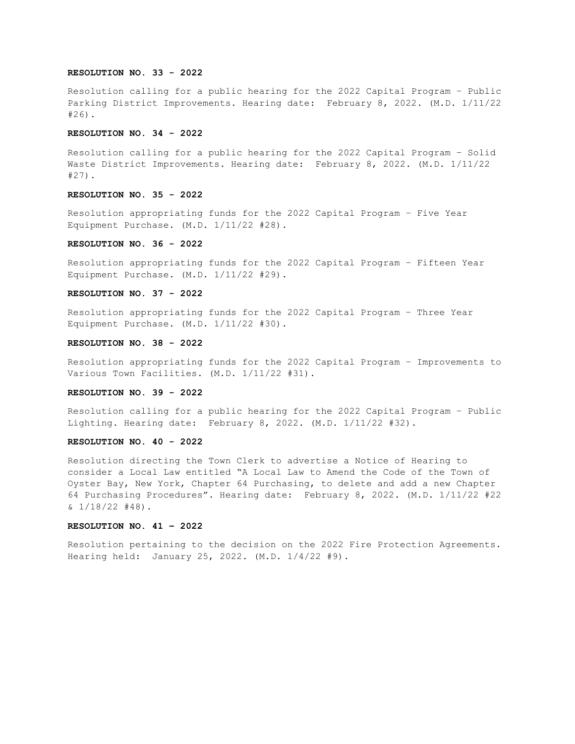## **RESOLUTION NO. 33 - 2022**

Resolution calling for a public hearing for the 2022 Capital Program – Public Parking District Improvements. Hearing date: February 8, 2022. (M.D. 1/11/22 #26).

### **RESOLUTION NO. 34 - 2022**

Resolution calling for a public hearing for the 2022 Capital Program – Solid Waste District Improvements. Hearing date: February 8, 2022. (M.D. 1/11/22 #27).

#### **RESOLUTION NO. 35 - 2022**

Resolution appropriating funds for the 2022 Capital Program – Five Year Equipment Purchase. (M.D. 1/11/22 #28).

## **RESOLUTION NO. 36 - 2022**

Resolution appropriating funds for the 2022 Capital Program – Fifteen Year Equipment Purchase. (M.D. 1/11/22 #29).

### **RESOLUTION NO. 37 - 2022**

Resolution appropriating funds for the 2022 Capital Program – Three Year Equipment Purchase. (M.D. 1/11/22 #30).

### **RESOLUTION NO. 38 - 2022**

Resolution appropriating funds for the 2022 Capital Program – Improvements to Various Town Facilities. (M.D. 1/11/22 #31).

### **RESOLUTION NO. 39 - 2022**

Resolution calling for a public hearing for the 2022 Capital Program – Public Lighting. Hearing date: February 8, 2022. (M.D. 1/11/22 #32).

#### **RESOLUTION NO. 40 - 2022**

Resolution directing the Town Clerk to advertise a Notice of Hearing to consider a Local Law entitled "A Local Law to Amend the Code of the Town of Oyster Bay, New York, Chapter 64 Purchasing, to delete and add a new Chapter 64 Purchasing Procedures". Hearing date: February 8, 2022. (M.D. 1/11/22 #22  $\frac{1}{18/22}$  #48).

## **RESOLUTION NO. 41 – 2022**

Resolution pertaining to the decision on the 2022 Fire Protection Agreements. Hearing held: January 25, 2022. (M.D. 1/4/22 #9).